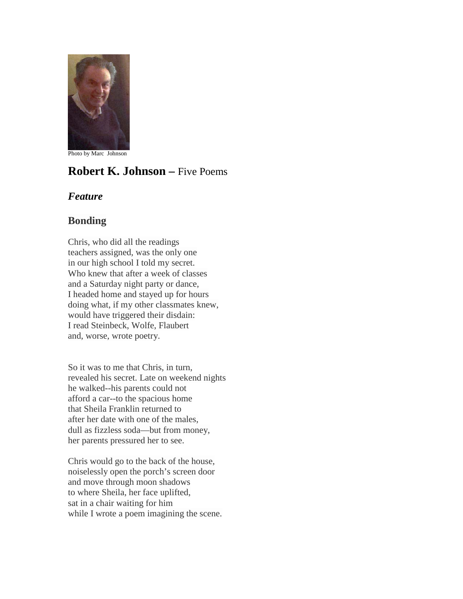

Photo by Marc Johnson

# **Robert K. Johnson –** Five Poems

### *Feature*

## **Bonding**

Chris, who did all the readings teachers assigned, was the only one in our high school I told my secret. Who knew that after a week of classes and a Saturday night party or dance, I headed home and stayed up for hours doing what, if my other classmates knew, would have triggered their disdain: I read Steinbeck, Wolfe, Flaubert and, worse, wrote poetry.

So it was to me that Chris, in turn, revealed his secret. Late on weekend nights he walked--his parents could not afford a car--to the spacious home that Sheila Franklin returned to after her date with one of the males, dull as fizzless soda—but from money, her parents pressured her to see.

Chris would go to the back of the house, noiselessly open the porch's screen door and move through moon shadows to where Sheila, her face uplifted, sat in a chair waiting for him while I wrote a poem imagining the scene.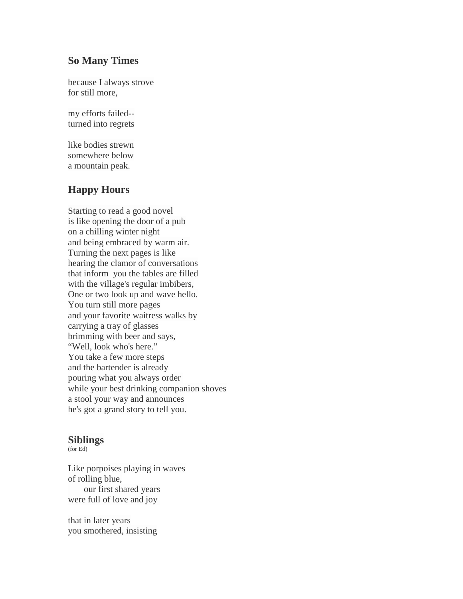#### **So Many Times**

because I always strove for still more,

my efforts failed- turned into regrets

like bodies strewn somewhere below a mountain peak.

## **Happy Hours**

Starting to read a good novel is like opening the door of a pub on a chilling winter night and being embraced by warm air. Turning the next pages is like hearing the clamor of conversations that inform you the tables are filled with the village's regular imbibers, One or two look up and wave hello. You turn still more pages and your favorite waitress walks by carrying a tray of glasses brimming with beer and says, "Well, look who's here." You take a few more steps and the bartender is already pouring what you always order while your best drinking companion shoves a stool your way and announces he's got a grand story to tell you.

#### **Siblings**

(for Ed)

Like porpoises playing in waves of rolling blue, our first shared years were full of love and joy

that in later years you smothered, insisting